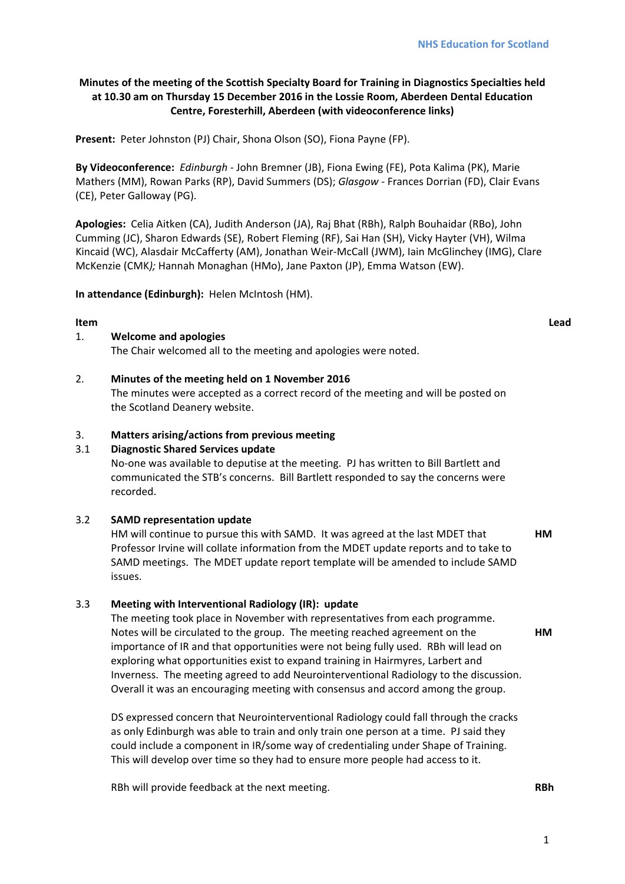# **Minutes of the meeting of the Scottish Specialty Board for Training in Diagnostics Specialties held at 10.30 am on Thursday 15 December 2016 in the Lossie Room, Aberdeen Dental Education Centre, Foresterhill, Aberdeen (with videoconference links)**

**Present:** Peter Johnston (PJ) Chair, Shona Olson (SO), Fiona Payne (FP).

**By Videoconference:** *Edinburgh ‐* John Bremner (JB), Fiona Ewing (FE), Pota Kalima (PK), Marie Mathers (MM), Rowan Parks (RP), David Summers (DS); *Glasgow* ‐ Frances Dorrian (FD), Clair Evans (CE), Peter Galloway (PG).

**Apologies:** Celia Aitken (CA), Judith Anderson (JA), Raj Bhat (RBh), Ralph Bouhaidar (RBo), John Cumming (JC), Sharon Edwards (SE), Robert Fleming (RF), Sai Han (SH), Vicky Hayter (VH), Wilma Kincaid (WC), Alasdair McCafferty (AM), Jonathan Weir‐McCall (JWM), Iain McGlinchey (IMG), Clare McKenzie (CMK*);* Hannah Monaghan (HMo), Jane Paxton (JP), Emma Watson (EW).

**In attendance (Edinburgh):** Helen McIntosh (HM).

# **Item Lead**

## 1. **Welcome and apologies**

The Chair welcomed all to the meeting and apologies were noted.

## 2. **Minutes of the meeting held on 1 November 2016**

The minutes were accepted as a correct record of the meeting and will be posted on the Scotland Deanery website.

## 3. **Matters arising/actions from previous meeting**

## 3.1 **Diagnostic Shared Services update**

No‐one was available to deputise at the meeting. PJ has written to Bill Bartlett and communicated the STB's concerns. Bill Bartlett responded to say the concerns were recorded.

## 3.2 **SAMD representation update**

HM will continue to pursue this with SAMD. It was agreed at the last MDET that Professor Irvine will collate information from the MDET update reports and to take to SAMD meetings. The MDET update report template will be amended to include SAMD issues. **HM**

## 3.3 **Meeting with Interventional Radiology (IR): update**

The meeting took place in November with representatives from each programme. Notes will be circulated to the group. The meeting reached agreement on the importance of IR and that opportunities were not being fully used. RBh will lead on exploring what opportunities exist to expand training in Hairmyres, Larbert and Inverness. The meeting agreed to add Neurointerventional Radiology to the discussion. Overall it was an encouraging meeting with consensus and accord among the group.

DS expressed concern that Neurointerventional Radiology could fall through the cracks as only Edinburgh was able to train and only train one person at a time. PJ said they could include a component in IR/some way of credentialing under Shape of Training. This will develop over time so they had to ensure more people had access to it.

RBh will provide feedback at the next meeting.

**RBh**

**HM**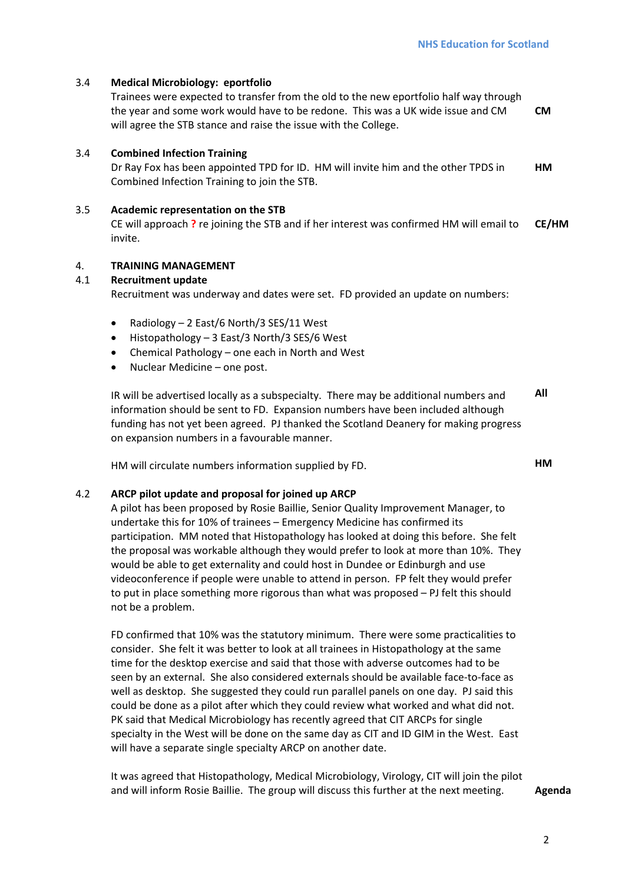# 3.4 **Medical Microbiology: eportfolio**

Trainees were expected to transfer from the old to the new eportfolio half way through the year and some work would have to be redone. This was a UK wide issue and CM will agree the STB stance and raise the issue with the College. **CM**

# 3.4 **Combined Infection Training**

Dr Ray Fox has been appointed TPD for ID. HM will invite him and the other TPDS in Combined Infection Training to join the STB. **HM**

## 3.5 **Academic representation on the STB**

CE will approach **?** re joining the STB and if her interest was confirmed HM will email to invite. **CE/HM**

## 4. **TRAINING MANAGEMENT**

# 4.1 **Recruitment update**

Recruitment was underway and dates were set. FD provided an update on numbers:

- Radiology 2 East/6 North/3 SES/11 West
- Histopathology 3 East/3 North/3 SES/6 West
- Chemical Pathology one each in North and West
- Nuclear Medicine one post.

IR will be advertised locally as a subspecialty. There may be additional numbers and information should be sent to FD. Expansion numbers have been included although funding has not yet been agreed. PJ thanked the Scotland Deanery for making progress on expansion numbers in a favourable manner. **All**

HM will circulate numbers information supplied by FD.

4.2 **ARCP pilot update and proposal for joined up ARCP** 

A pilot has been proposed by Rosie Baillie, Senior Quality Improvement Manager, to undertake this for 10% of trainees – Emergency Medicine has confirmed its participation. MM noted that Histopathology has looked at doing this before. She felt the proposal was workable although they would prefer to look at more than 10%. They would be able to get externality and could host in Dundee or Edinburgh and use videoconference if people were unable to attend in person. FP felt they would prefer to put in place something more rigorous than what was proposed – PJ felt this should not be a problem.

FD confirmed that 10% was the statutory minimum. There were some practicalities to consider. She felt it was better to look at all trainees in Histopathology at the same time for the desktop exercise and said that those with adverse outcomes had to be seen by an external. She also considered externals should be available face‐to‐face as well as desktop. She suggested they could run parallel panels on one day. PJ said this could be done as a pilot after which they could review what worked and what did not. PK said that Medical Microbiology has recently agreed that CIT ARCPs for single specialty in the West will be done on the same day as CIT and ID GIM in the West. East will have a separate single specialty ARCP on another date.

It was agreed that Histopathology, Medical Microbiology, Virology, CIT will join the pilot and will inform Rosie Baillie. The group will discuss this further at the next meeting. **Agenda** 

**HM**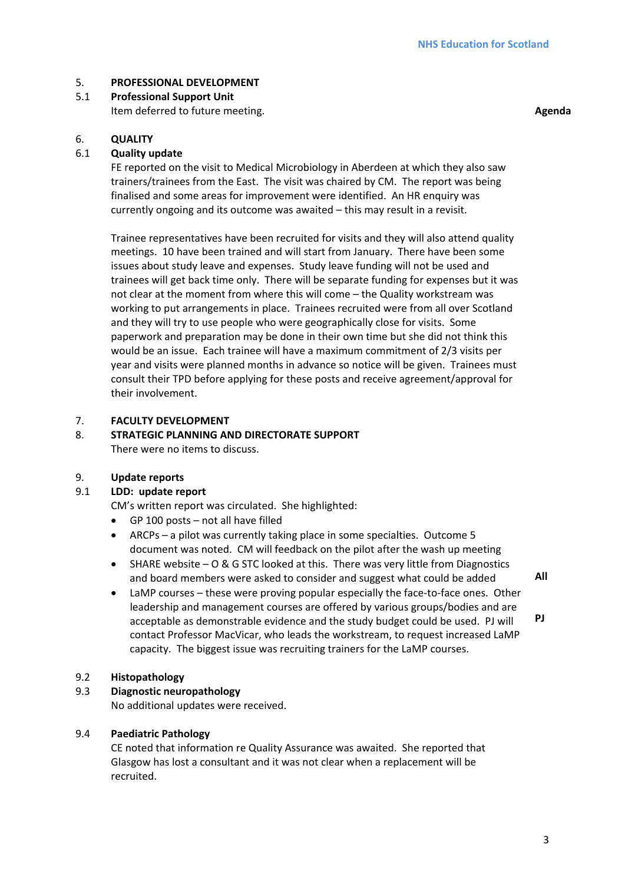# 5. **PROFESSIONAL DEVELOPMENT**

5.1 **Professional Support Unit**  Item deferred to future meeting. **Agenda**

# 6. **QUALITY**

# 6.1 **Quality update**

FE reported on the visit to Medical Microbiology in Aberdeen at which they also saw trainers/trainees from the East. The visit was chaired by CM. The report was being finalised and some areas for improvement were identified. An HR enquiry was currently ongoing and its outcome was awaited – this may result in a revisit.

Trainee representatives have been recruited for visits and they will also attend quality meetings. 10 have been trained and will start from January. There have been some issues about study leave and expenses. Study leave funding will not be used and trainees will get back time only. There will be separate funding for expenses but it was not clear at the moment from where this will come – the Quality workstream was working to put arrangements in place. Trainees recruited were from all over Scotland and they will try to use people who were geographically close for visits. Some paperwork and preparation may be done in their own time but she did not think this would be an issue. Each trainee will have a maximum commitment of 2/3 visits per year and visits were planned months in advance so notice will be given. Trainees must consult their TPD before applying for these posts and receive agreement/approval for their involvement.

#### 7. **FACULTY DEVELOPMENT**

#### 8. **STRATEGIC PLANNING AND DIRECTORATE SUPPORT** There were no items to discuss.

## 9. **Update reports**

## 9.1 **LDD: update report**

CM's written report was circulated. She highlighted:

- GP 100 posts not all have filled
- ARCPs a pilot was currently taking place in some specialties. Outcome 5 document was noted. CM will feedback on the pilot after the wash up meeting
- SHARE website O & G STC looked at this. There was very little from Diagnostics and board members were asked to consider and suggest what could be added
- LaMP courses these were proving popular especially the face‐to‐face ones. Other leadership and management courses are offered by various groups/bodies and are acceptable as demonstrable evidence and the study budget could be used. PJ will contact Professor MacVicar, who leads the workstream, to request increased LaMP capacity. The biggest issue was recruiting trainers for the LaMP courses. **PJ**

## 9.2 **Histopathology**

## 9.3 **Diagnostic neuropathology**

No additional updates were received.

## 9.4 **Paediatric Pathology**

CE noted that information re Quality Assurance was awaited. She reported that Glasgow has lost a consultant and it was not clear when a replacement will be recruited.

**All**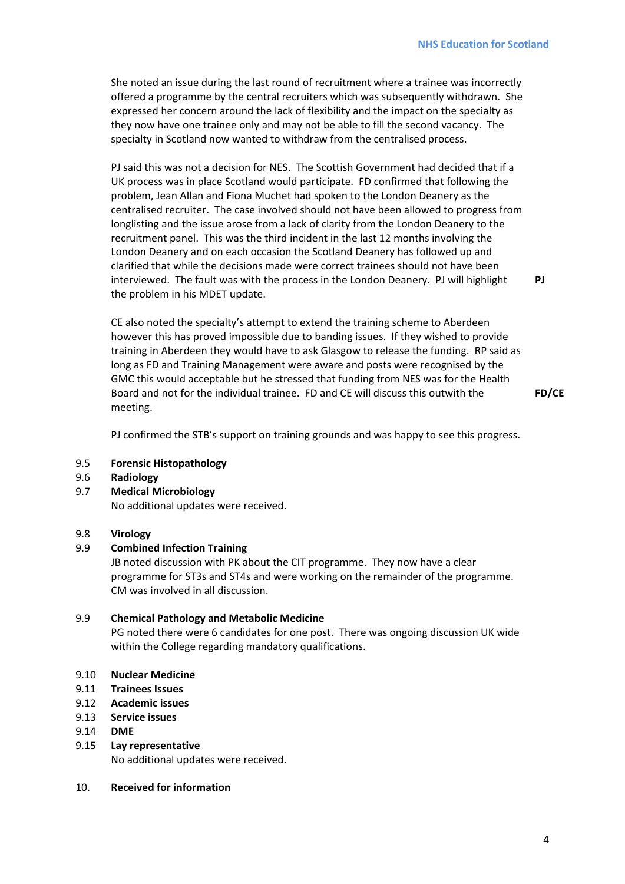She noted an issue during the last round of recruitment where a trainee was incorrectly offered a programme by the central recruiters which was subsequently withdrawn. She expressed her concern around the lack of flexibility and the impact on the specialty as they now have one trainee only and may not be able to fill the second vacancy. The specialty in Scotland now wanted to withdraw from the centralised process.

PJ said this was not a decision for NES. The Scottish Government had decided that if a UK process was in place Scotland would participate. FD confirmed that following the problem, Jean Allan and Fiona Muchet had spoken to the London Deanery as the centralised recruiter. The case involved should not have been allowed to progress from longlisting and the issue arose from a lack of clarity from the London Deanery to the recruitment panel. This was the third incident in the last 12 months involving the London Deanery and on each occasion the Scotland Deanery has followed up and clarified that while the decisions made were correct trainees should not have been interviewed. The fault was with the process in the London Deanery. PJ will highlight the problem in his MDET update.

CE also noted the specialty's attempt to extend the training scheme to Aberdeen however this has proved impossible due to banding issues. If they wished to provide training in Aberdeen they would have to ask Glasgow to release the funding. RP said as long as FD and Training Management were aware and posts were recognised by the GMC this would acceptable but he stressed that funding from NES was for the Health Board and not for the individual trainee. FD and CE will discuss this outwith the meeting.

**FD/CE**

**PJ**

PJ confirmed the STB's support on training grounds and was happy to see this progress.

#### 9.5 **Forensic Histopathology**

- 9.6 **Radiology**
- 9.7 **Medical Microbiology**

No additional updates were received.

## 9.8 **Virology**

#### 9.9 **Combined Infection Training**

JB noted discussion with PK about the CIT programme. They now have a clear programme for ST3s and ST4s and were working on the remainder of the programme. CM was involved in all discussion.

#### 9.9 **Chemical Pathology and Metabolic Medicine**

PG noted there were 6 candidates for one post. There was ongoing discussion UK wide within the College regarding mandatory qualifications.

#### 9.10 **Nuclear Medicine**

- 9.11 **Trainees Issues**
- 9.12 **Academic issues**
- 9.13 **Service issues**
- 9.14 **DME**

#### 9.15 **Lay representative**

No additional updates were received.

#### 10. **Received for information**